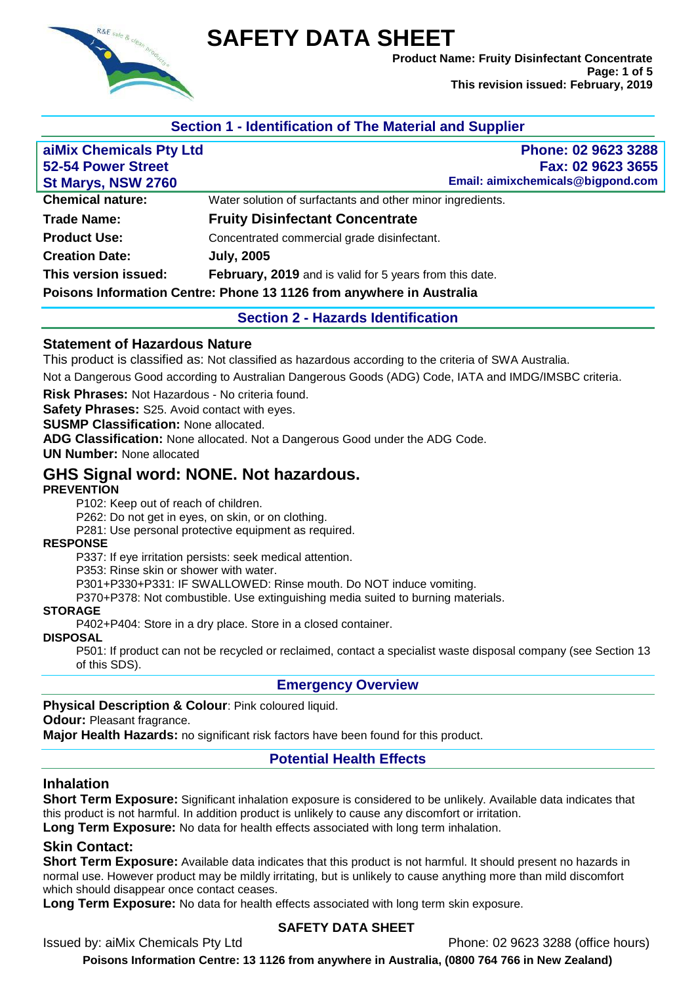

# **SAFETY DATA SHEET**

**Product Name: Fruity Disinfectant Concentrate Page: 1 of 5 This revision issued: February, 2019**

## **Section 1 - Identification of The Material and Supplier**

| aiMix Chemicals Pty Ltd   | Phone: 02 9623 3288                                                  |
|---------------------------|----------------------------------------------------------------------|
| <b>52-54 Power Street</b> | Fax: 02 9623 3655                                                    |
| St Marys, NSW 2760        | Email: aimixchemicals@bigpond.com                                    |
| <b>Chemical nature:</b>   | Water solution of surfactants and other minor ingredients.           |
| <b>Trade Name:</b>        | <b>Fruity Disinfectant Concentrate</b>                               |
| <b>Product Use:</b>       | Concentrated commercial grade disinfectant.                          |
| <b>Creation Date:</b>     | <b>July, 2005</b>                                                    |
| This version issued:      | February, 2019 and is valid for 5 years from this date.              |
|                           | Poisons Information Centre: Phone 13 1126 from anywhere in Australia |

#### **Section 2 - Hazards Identification**

#### **Statement of Hazardous Nature**

This product is classified as: Not classified as hazardous according to the criteria of SWA Australia.

Not a Dangerous Good according to Australian Dangerous Goods (ADG) Code, IATA and IMDG/IMSBC criteria.

**Risk Phrases:** Not Hazardous - No criteria found.

**Safety Phrases:** S25. Avoid contact with eyes.

**SUSMP Classification:** None allocated.

**ADG Classification:** None allocated. Not a Dangerous Good under the ADG Code.

**UN Number:** None allocated

# **GHS Signal word: NONE. Not hazardous.**

#### **PREVENTION**

P102: Keep out of reach of children.

P262: Do not get in eyes, on skin, or on clothing.

P281: Use personal protective equipment as required.

#### **RESPONSE**

P337: If eye irritation persists: seek medical attention.

P353: Rinse skin or shower with water.

P301+P330+P331: IF SWALLOWED: Rinse mouth. Do NOT induce vomiting.

P370+P378: Not combustible. Use extinguishing media suited to burning materials.

#### **STORAGE**

P402+P404: Store in a dry place. Store in a closed container.

#### **DISPOSAL**

P501: If product can not be recycled or reclaimed, contact a specialist waste disposal company (see Section 13 of this SDS).

#### **Emergency Overview**

#### **Physical Description & Colour**: Pink coloured liquid.

**Odour:** Pleasant fragrance.

**Major Health Hazards:** no significant risk factors have been found for this product.

#### **Potential Health Effects**

#### **Inhalation**

**Short Term Exposure:** Significant inhalation exposure is considered to be unlikely. Available data indicates that this product is not harmful. In addition product is unlikely to cause any discomfort or irritation.

**Long Term Exposure:** No data for health effects associated with long term inhalation.

#### **Skin Contact:**

**Short Term Exposure:** Available data indicates that this product is not harmful. It should present no hazards in normal use. However product may be mildly irritating, but is unlikely to cause anything more than mild discomfort which should disappear once contact ceases.

**Long Term Exposure:** No data for health effects associated with long term skin exposure.

#### **SAFETY DATA SHEET**

Issued by: aiMix Chemicals Pty Ltd Phone: 02 9623 3288 (office hours)

**Poisons Information Centre: 13 1126 from anywhere in Australia, (0800 764 766 in New Zealand)**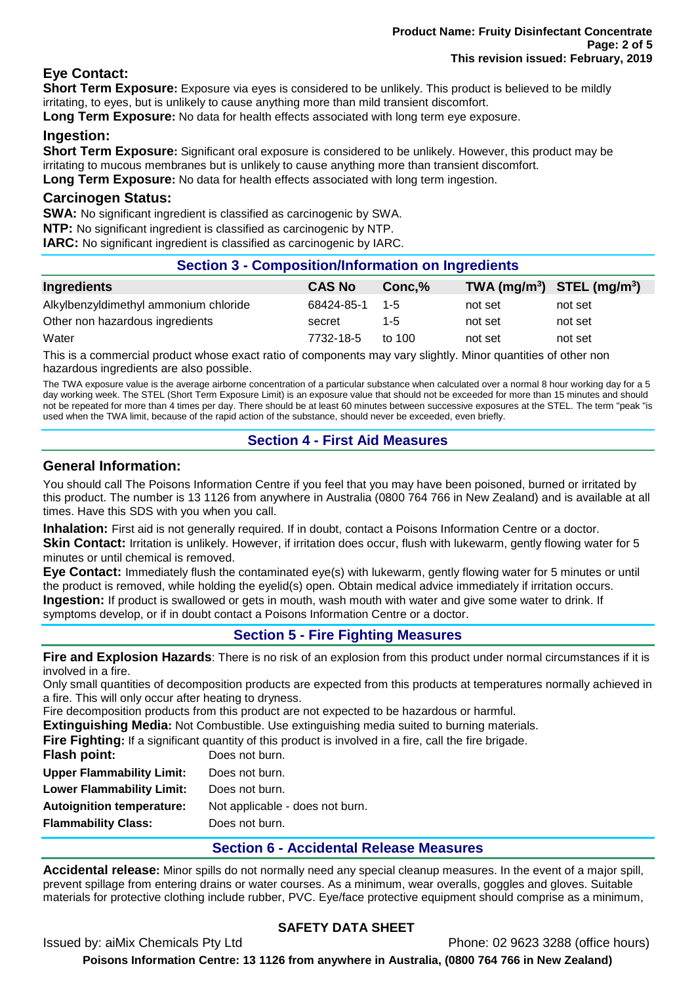## **Eye Contact:**

**Short Term Exposure:** Exposure via eyes is considered to be unlikely. This product is believed to be mildly irritating, to eyes, but is unlikely to cause anything more than mild transient discomfort.

**Long Term Exposure:** No data for health effects associated with long term eye exposure.

## **Ingestion:**

**Short Term Exposure:** Significant oral exposure is considered to be unlikely. However, this product may be irritating to mucous membranes but is unlikely to cause anything more than transient discomfort. **Long Term Exposure:** No data for health effects associated with long term ingestion.

#### **Carcinogen Status:**

**SWA:** No significant ingredient is classified as carcinogenic by SWA.

**NTP:** No significant ingredient is classified as carcinogenic by NTP.

**IARC:** No significant ingredient is classified as carcinogenic by IARC.

## **Section 3 - Composition/Information on Ingredients**

| Ingredients                           | <b>CAS No</b> | Conc.%   | TWA $(mg/m^3)$ STEL $(mg/m^3)$ |         |
|---------------------------------------|---------------|----------|--------------------------------|---------|
| Alkylbenzyldimethyl ammonium chloride | 68424-85-1    | $-1 - 5$ | not set                        | not set |
| Other non hazardous ingredients       | secret        | 1-5      | not set                        | not set |
| Water                                 | 7732-18-5     | to $100$ | not set                        | not set |

This is a commercial product whose exact ratio of components may vary slightly. Minor quantities of other non hazardous ingredients are also possible.

The TWA exposure value is the average airborne concentration of a particular substance when calculated over a normal 8 hour working day for a 5 day working week. The STEL (Short Term Exposure Limit) is an exposure value that should not be exceeded for more than 15 minutes and should not be repeated for more than 4 times per day. There should be at least 60 minutes between successive exposures at the STEL. The term "peak "is used when the TWA limit, because of the rapid action of the substance, should never be exceeded, even briefly.

## **Section 4 - First Aid Measures**

## **General Information:**

You should call The Poisons Information Centre if you feel that you may have been poisoned, burned or irritated by this product. The number is 13 1126 from anywhere in Australia (0800 764 766 in New Zealand) and is available at all times. Have this SDS with you when you call.

**Inhalation:** First aid is not generally required. If in doubt, contact a Poisons Information Centre or a doctor.

**Skin Contact:** Irritation is unlikely. However, if irritation does occur, flush with lukewarm, gently flowing water for 5 minutes or until chemical is removed.

**Eye Contact:** Immediately flush the contaminated eye(s) with lukewarm, gently flowing water for 5 minutes or until the product is removed, while holding the eyelid(s) open. Obtain medical advice immediately if irritation occurs. **Ingestion:** If product is swallowed or gets in mouth, wash mouth with water and give some water to drink. If symptoms develop, or if in doubt contact a Poisons Information Centre or a doctor.

## **Section 5 - Fire Fighting Measures**

**Fire and Explosion Hazards**: There is no risk of an explosion from this product under normal circumstances if it is involved in a fire.

Only small quantities of decomposition products are expected from this products at temperatures normally achieved in a fire. This will only occur after heating to dryness.

Fire decomposition products from this product are not expected to be hazardous or harmful.

**Extinguishing Media:** Not Combustible. Use extinguishing media suited to burning materials.

**Fire Fighting:** If a significant quantity of this product is involved in a fire, call the fire brigade.

| Flash point:                     | Does not burn.                  |
|----------------------------------|---------------------------------|
| <b>Upper Flammability Limit:</b> | Does not burn.                  |
| <b>Lower Flammability Limit:</b> | Does not burn.                  |
| <b>Autoignition temperature:</b> | Not applicable - does not burn. |
| <b>Flammability Class:</b>       | Does not burn.                  |
|                                  |                                 |

## **Section 6 - Accidental Release Measures**

**Accidental release:** Minor spills do not normally need any special cleanup measures. In the event of a major spill, prevent spillage from entering drains or water courses. As a minimum, wear overalls, goggles and gloves. Suitable materials for protective clothing include rubber, PVC. Eye/face protective equipment should comprise as a minimum,

## **SAFETY DATA SHEET**

Issued by: aiMix Chemicals Pty Ltd Phone: 02 9623 3288 (office hours)

**Poisons Information Centre: 13 1126 from anywhere in Australia, (0800 764 766 in New Zealand)**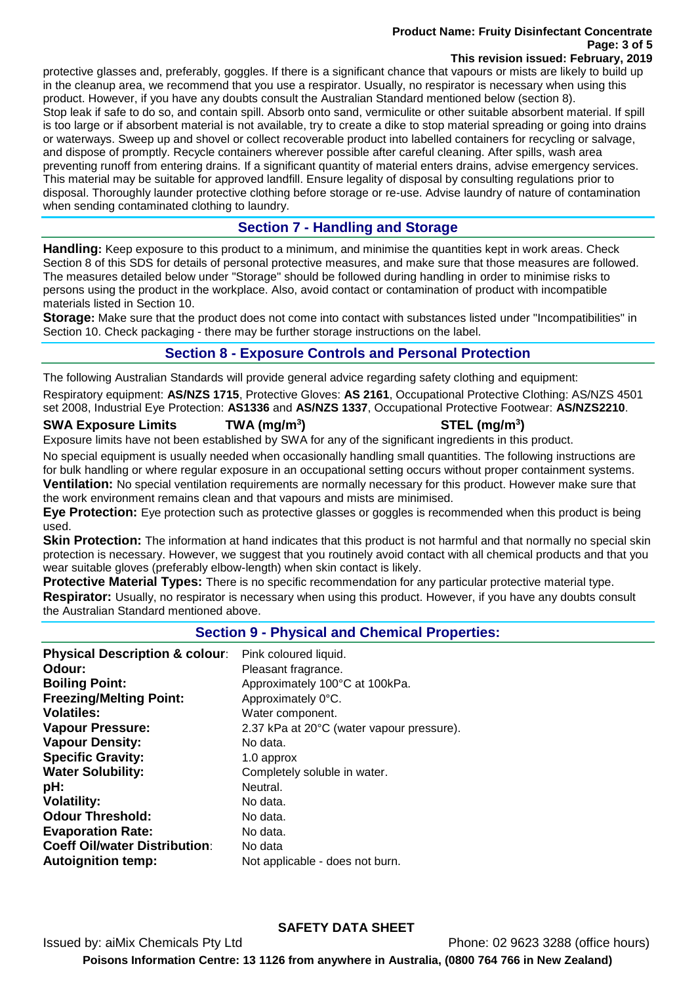#### **Product Name: Fruity Disinfectant Concentrate Page: 3 of 5 This revision issued: February, 2019**

protective glasses and, preferably, goggles. If there is a significant chance that vapours or mists are likely to build up in the cleanup area, we recommend that you use a respirator. Usually, no respirator is necessary when using this product. However, if you have any doubts consult the Australian Standard mentioned below (section 8). Stop leak if safe to do so, and contain spill. Absorb onto sand, vermiculite or other suitable absorbent material. If spill is too large or if absorbent material is not available, try to create a dike to stop material spreading or going into drains or waterways. Sweep up and shovel or collect recoverable product into labelled containers for recycling or salvage, and dispose of promptly. Recycle containers wherever possible after careful cleaning. After spills, wash area preventing runoff from entering drains. If a significant quantity of material enters drains, advise emergency services. This material may be suitable for approved landfill. Ensure legality of disposal by consulting regulations prior to disposal. Thoroughly launder protective clothing before storage or re-use. Advise laundry of nature of contamination when sending contaminated clothing to laundry.

# **Section 7 - Handling and Storage**

**Handling:** Keep exposure to this product to a minimum, and minimise the quantities kept in work areas. Check Section 8 of this SDS for details of personal protective measures, and make sure that those measures are followed. The measures detailed below under "Storage" should be followed during handling in order to minimise risks to persons using the product in the workplace. Also, avoid contact or contamination of product with incompatible materials listed in Section 10.

**Storage:** Make sure that the product does not come into contact with substances listed under "Incompatibilities" in Section 10. Check packaging - there may be further storage instructions on the label.

# **Section 8 - Exposure Controls and Personal Protection**

The following Australian Standards will provide general advice regarding safety clothing and equipment:

Respiratory equipment: **AS/NZS 1715**, Protective Gloves: **AS 2161**, Occupational Protective Clothing: AS/NZS 4501 set 2008, Industrial Eye Protection: **AS1336** and **AS/NZS 1337**, Occupational Protective Footwear: **AS/NZS2210**.

## **SWA Exposure Limits TWA (mg/m<sup>3</sup>**

## **) STEL (mg/m<sup>3</sup> )**

Exposure limits have not been established by SWA for any of the significant ingredients in this product.

No special equipment is usually needed when occasionally handling small quantities. The following instructions are for bulk handling or where regular exposure in an occupational setting occurs without proper containment systems. **Ventilation:** No special ventilation requirements are normally necessary for this product. However make sure that the work environment remains clean and that vapours and mists are minimised.

**Eye Protection:** Eye protection such as protective glasses or goggles is recommended when this product is being used.

**Skin Protection:** The information at hand indicates that this product is not harmful and that normally no special skin protection is necessary. However, we suggest that you routinely avoid contact with all chemical products and that you wear suitable gloves (preferably elbow-length) when skin contact is likely.

**Protective Material Types:** There is no specific recommendation for any particular protective material type. **Respirator:** Usually, no respirator is necessary when using this product. However, if you have any doubts consult the Australian Standard mentioned above.

## **Section 9 - Physical and Chemical Properties:**

| Pink coloured liquid.<br>Pleasant fragrance.<br>Approximately 100°C at 100kPa.<br>Approximately 0°C.<br>Water component.<br>2.37 kPa at 20°C (water vapour pressure).<br>No data.<br>1.0 approx<br>Completely soluble in water.<br>Neutral.<br>No data.<br>No data.<br>No data. |
|---------------------------------------------------------------------------------------------------------------------------------------------------------------------------------------------------------------------------------------------------------------------------------|
| No data<br>Not applicable - does not burn.                                                                                                                                                                                                                                      |
|                                                                                                                                                                                                                                                                                 |

## **SAFETY DATA SHEET**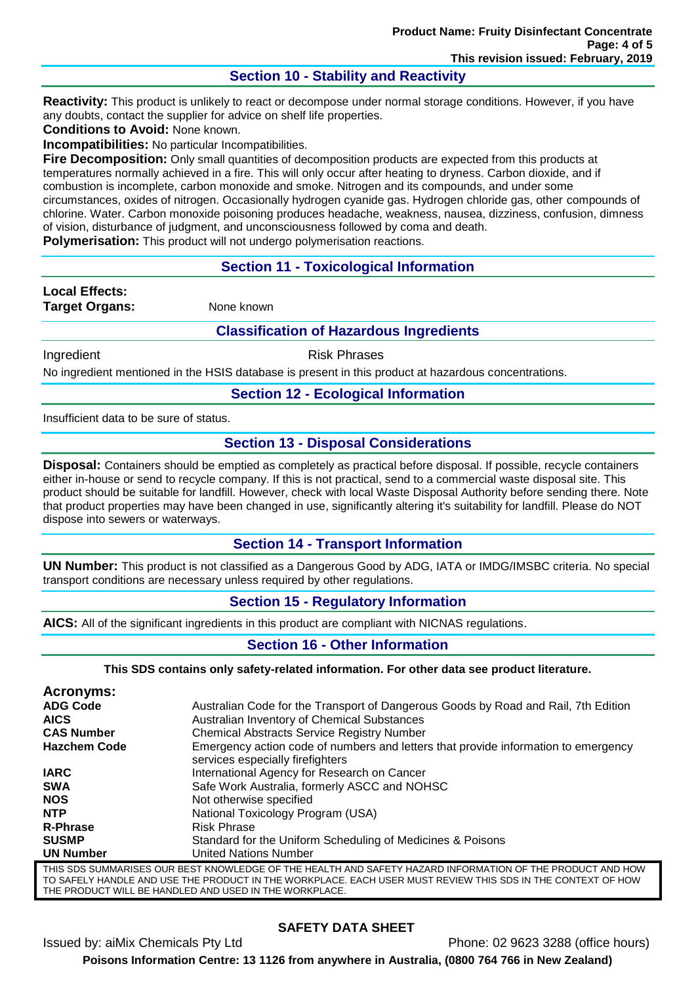## **Section 10 - Stability and Reactivity**

**Reactivity:** This product is unlikely to react or decompose under normal storage conditions. However, if you have any doubts, contact the supplier for advice on shelf life properties.

**Conditions to Avoid:** None known.

**Incompatibilities:** No particular Incompatibilities.

**Fire Decomposition:** Only small quantities of decomposition products are expected from this products at temperatures normally achieved in a fire. This will only occur after heating to dryness. Carbon dioxide, and if combustion is incomplete, carbon monoxide and smoke. Nitrogen and its compounds, and under some circumstances, oxides of nitrogen. Occasionally hydrogen cyanide gas. Hydrogen chloride gas, other compounds of chlorine. Water. Carbon monoxide poisoning produces headache, weakness, nausea, dizziness, confusion, dimness of vision, disturbance of judgment, and unconsciousness followed by coma and death.

**Polymerisation:** This product will not undergo polymerisation reactions.

## **Section 11 - Toxicological Information**

**Local Effects: Target Organs:** None known

#### **Classification of Hazardous Ingredients**

Ingredient **Risk Phrases** 

No ingredient mentioned in the HSIS database is present in this product at hazardous concentrations.

#### **Section 12 - Ecological Information**

Insufficient data to be sure of status.

## **Section 13 - Disposal Considerations**

**Disposal:** Containers should be emptied as completely as practical before disposal. If possible, recycle containers either in-house or send to recycle company. If this is not practical, send to a commercial waste disposal site. This product should be suitable for landfill. However, check with local Waste Disposal Authority before sending there. Note that product properties may have been changed in use, significantly altering it's suitability for landfill. Please do NOT dispose into sewers or waterways.

#### **Section 14 - Transport Information**

**UN Number:** This product is not classified as a Dangerous Good by ADG, IATA or IMDG/IMSBC criteria. No special transport conditions are necessary unless required by other regulations.

#### **Section 15 - Regulatory Information**

**AICS:** All of the significant ingredients in this product are compliant with NICNAS regulations.

#### **Section 16 - Other Information**

**This SDS contains only safety-related information. For other data see product literature.**

| Acronyms:                                                                                                 |                                                                                                                        |  |
|-----------------------------------------------------------------------------------------------------------|------------------------------------------------------------------------------------------------------------------------|--|
| <b>ADG Code</b>                                                                                           | Australian Code for the Transport of Dangerous Goods by Road and Rail, 7th Edition                                     |  |
| <b>AICS</b>                                                                                               | Australian Inventory of Chemical Substances                                                                            |  |
| <b>CAS Number</b>                                                                                         | <b>Chemical Abstracts Service Registry Number</b>                                                                      |  |
| <b>Hazchem Code</b>                                                                                       | Emergency action code of numbers and letters that provide information to emergency<br>services especially firefighters |  |
| <b>IARC</b>                                                                                               | International Agency for Research on Cancer                                                                            |  |
| <b>SWA</b>                                                                                                | Safe Work Australia, formerly ASCC and NOHSC                                                                           |  |
| <b>NOS</b>                                                                                                | Not otherwise specified                                                                                                |  |
| <b>NTP</b>                                                                                                | National Toxicology Program (USA)                                                                                      |  |
| <b>R-Phrase</b>                                                                                           | <b>Risk Phrase</b>                                                                                                     |  |
| <b>SUSMP</b>                                                                                              | Standard for the Uniform Scheduling of Medicines & Poisons                                                             |  |
| <b>UN Number</b>                                                                                          | <b>United Nations Number</b>                                                                                           |  |
| THIS SDS SUMMARISES OUR BEST KNOWLEDGE OF THE HEALTH AND SAFETY HAZARD INFORMATION OF THE PRODUCT AND HOW |                                                                                                                        |  |

AND USE THE PRODUCT IN THE WORKPLACE. EACH USER MUST REVIEW THIS SDS THE PRODUCT WILL BE HANDLED AND USED IN THE WORKPLACE.

## **SAFETY DATA SHEET**

Issued by: aiMix Chemicals Pty Ltd Phone: 02 9623 3288 (office hours) **Poisons Information Centre: 13 1126 from anywhere in Australia, (0800 764 766 in New Zealand)**